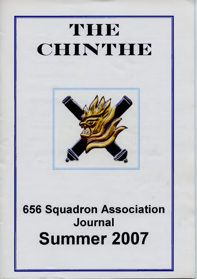# **THE CHINTHE**



## 656 Squadron Association Journal Summer 2007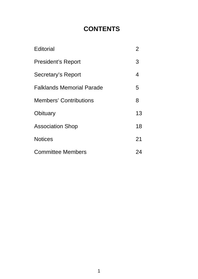### **CONTENTS**

| Editorial                        | 2  |
|----------------------------------|----|
| <b>President's Report</b>        | 3  |
| Secretary's Report               | 4  |
| <b>Falklands Memorial Parade</b> | 5  |
| <b>Members' Contributions</b>    | 8  |
| Obituary                         | 13 |
| <b>Association Shop</b>          | 18 |
| <b>Notices</b>                   | 21 |
| <b>Committee Members</b>         | 24 |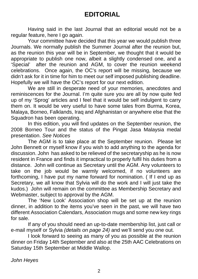Having said in the last Journal that an editorial would not be a regular feature, here I go again.

 Your committee have decided that this year we would publish three Journals. We normally publish the Summer Journal after the reunion but, as the reunion this year will be in September, we thought that it would be appropriate to publish one now, albeit a slightly condensed one, and a 'Special' after the reunion and AGM, to cover the reunion weekend celebrations. Once again, the OC's report will be missing, because we didn't ask for it in time for him to meet our self imposed publishing deadline. Hopefully we will have the OC's report for our next edition.

 We are still in desperate need of your memories, anecdotes and reminiscences for the Journal. I'm quite sure you are all by now quite fed up of my 'Sprog' articles and I feel that it would be self indulgent to carry them on. It would be very useful to have some tales from Burma, Korea, Malaya, Borneo, Falklands, Iraq and Afghanistan or anywhere else that the Squadron has been operating.

 In this edition, you will find updates on the September reunion, the 2008 Borneo Tour and the status of the Pingat Jasa Malaysia medal presentation. *See Notices*

 The AGM is to take place at the September reunion. Please let John Bennett or myself know if you wish to add anything to the agenda for discussion. John has asked to be relieved of the secretaryship as he is now resident in France and finds it impractical to properly fulfil his duties from a distance. John will continue as Secretary until the AGM. Any volunteers to take on the job would be warmly welcomed, if no volunteers are forthcoming, I have put my name forward for nomination. ( If I end up as Secretary, we all know that Sylvia will do the work and I will just take the kudos.) John will remain on the committee as Membership Secretary and Webmaster, subject to approval by the AGM.

The 'New Look' Association shop will be set up at the reunion dinner, in addition to the items you've seen in the past, we will have two different Association Calendars, Association mugs and some new key rings for sale.

 If any of you should need an up-to-date membership list, just call or e-mail myself or Sylvia *(details on page 24)* and we'll send you one out.

 I look forward to seeing as many of you as possible at the reunion dinner on Friday 14th September and also at the 25th AAC Celebrations on Saturday 15th September at Middle Wallop.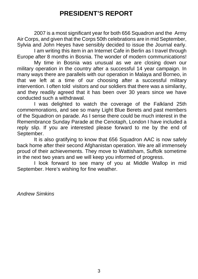#### **PRESIDENT'S REPORT**

2007 is a most significant year for both 656 Squadron and the Army Air Corps, and given that the Corps 50th celebrations are in mid September, Sylvia and John Heyes have sensibly decided to issue the Journal early.

 I am writing this item in an Internet Cafe in Berlin as I travel through Europe after 8 months in Bosnia. The wonder of modern communications!

 My time in Bosnia was unusual as we are closing down our military operation in the country after a successful 14 year campaign. In many ways there are parallels with our operation in Malaya and Borneo, in that we left at a time of our choosing after a successful military intervention. I often told visitors and our soldiers that there was a similarity, and they readily agreed that it has been over 30 years since we have conducted such a withdrawal.

 I was delighted to watch the coverage of the Falkland 25th commemorations, and see so many Light Blue Berets and past members of the Squadron on parade. As I sense there could be much interest in the Remembrance Sunday Parade at the Cenotaph, London I have included a reply slip. If you are interested please forward to me by the end of September.

 It is also gratifying to know that 656 Squadron AAC is now safely back home after their second Afghanistan operation. We are all immensely proud of their achievements. They move to Wattisham, Suffolk sometime in the next two years and we will keep you informed of progress.

 I look forward to see many of you at Middle Wallop in mid September. Here's wishing for fine weather.

*Andrew Simkins*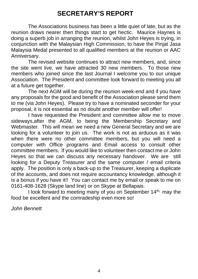#### **SECRETARY'S REPORT**

The Associations business has been a little quiet of late, but as the reunion draws nearer then things start to get hectic. Maurice Haynes is doing a superb job in arranging the reunion, whilst John Heyes is trying, in conjunction with the Malaysian High Commission, to have the Pinjat Jasa Malaysia Medal presented to all qualified members at the reunion or AAC Anniversary.

 The revised website continues to attract new members, and, since the site went live, we have attracted 30 new members. To those new members who joined since the last Journal I welcome you to our unique Association. The President and committee look forward to meeting you all at a future get together.

 The next AGM will be during the reunion week-end and if you have any proposals for the good and benefit of the Association please send them to me (via John Heyes). Please try to have a nominated seconder for your proposal, it is not essential as no doubt another member will offer!

 I have requested the President and committee allow me to move sideways,after the AGM, to being the Membership Secretary and Webmaster. This will mean we need a new General Secretary and we are looking for a volunteer to join us. The work is not as arduous as it was when there were no other committee members, but you will need a computer with Office programs and Email access to consult other committee members. If you would like to volunteer then contact me or John Heyes so that we can discuss any necessary handover. We are still looking for a Deputy Treasurer and the same computer / email criteria apply. The position is only a back-up to the Treasurer, keeping a duplicate of the accounts, and does not require accountancy knowledge, although it is a bonus if you have it!! You can contact me by email or speak to me on 0161-408-1628 (Skype land line) or on Skype at Bellapais.

I look forward to meeting many of you on September 14<sup>th,</sup> may the food be excellent and the comradeship even more so!

*John Bennett*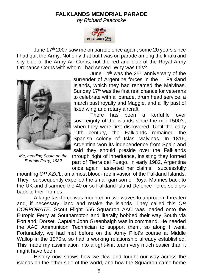#### **FALKLANDS MEMORIAL PARADE**

*by Richard Peacocke*



 June 17th 2007 saw me on parade once again, some 20 years since I had quit the Army. Not only that but I was on parade among the khaki and sky blue of the Army Air Corps, not the red and blue of the Royal Army Ordnance Corps with whom I had served. Why was this?



*Me, heading South on the Europic Ferry, 1982*

June  $14<sup>th</sup>$  was the  $25<sup>th</sup>$  anniversary of the surrender of Argentine forces in the Falkland Islands, which they had renamed the Malvinas. Sunday 17<sup>th</sup> was the first real chance for veterans to celebrate with a parade, drum head service, a march past royalty and Maggie, and a fly past of fixed wing and rotary aircraft.

There has been a kerfuffle over sovereignty of the islands since the mid-1500's, when they were first discovered. Until the early 19th century, the Falklands remained the Spanish colony of Islas Malvinas. In 1816, Argentina won its independence from Spain and said they should preside over the Falklands through right of inheritance, insisting they formed part of Tierra del Fuego. In early 1982, Argentina once again asserted her claims, successfully

mounting *OP AZUL*, an almost blood-free invasion of the Falkland Islands. They subsequently expelled the small garrison of Royal Marines back to the UK and disarmed the 40 or so Falkland Island Defence Force soldiers back to their homes.

A large taskforce was mounted in two waves to approach, threaten and, if necessary, land and retake the islands. They called this *OP CORPORATE*. Scout Flight 656 Squadron AAC was loaded onto the Europic Ferry at Southampton and literally bobbed their way South via Portland, Dorset. Captain John Greenhalgh was in command. He needed the AAC Ammunition Technician to support them, so along I went. Fortunately, we had met before on the Army Pilot's course at Middle Wallop in the 1970's, so had a working relationship already established. This made my assimilation into a tight-knit team very much easier than it might have been.

History now shows how we flew and fought our way across the islands on the other side of the world, and how the Squadron came home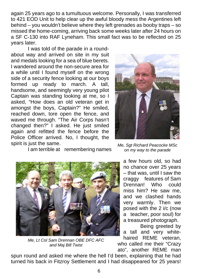again 25 years ago to a tumultuous welcome. Personally, I was transferred to 421 EOD Unit to help clear up the awful bloody mess the Argentines left behind – you wouldn't believe where they left grenades as booby traps – so missed the home-coming, arriving back some weeks later after 24 hours on a SF C-130 into RAF Lyneham. This small fact was to be reflected on 25 years later.

I was told of the parade in a roundabout way and arrived on site in my suit and medals looking for a sea of blue berets. I wandered around the non-secure area for a while until I found myself on the wrong side of a security fence looking at our boys formed up ready to march. A tall, handsome, and seemingly very young pilot Captain was standing looking at me, so I asked, "How does an old veteran get in amongst the boys, Captain?" He smiled, reached down, tore open the fence, and waved me through. "The Air Corps hasn't changed then?" I asked. He just smiled again and refitted the fence before the Police Officer arrived. No, I thought, the spirit is just the same.



I am terrible at remembering names

*Me, Lt Col Sam Drennan OBE DFC AFC and Maj Bill Twist*

*Me, Sgt Richard Peacocke MSc on my way to the parade*



Being greeted by a tall and very whitehaired REME veteran, who called me their "Crazy

ato", another REME man spun round and asked me where the hell I'd been, explaining that he had turned his back in Fitzroy Settlement and I had disappeared for 25 years!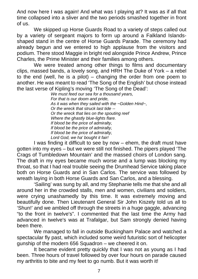And now here I was again! And what was I playing at? It was as if all that time collapsed into a sliver and the two periods smashed together in front of us.

We skipped up Horse Guards Road to a variety of steps called out by a variety of sergeant majors to form up around a Falkland Islandsshaped stand in the centre of Horse Guards Parade. The ceremony had already begun and we entered to high applause from the visitors and podium. There stood Maggie in bright red alongside Prince Andrew, Prince Charles, the Prime Minister and their families among others.

We were treated among other things to films and documentary clips, massed bands, a lovely song, and HRH The Duke of York – a rebel to the end (well, he is a pilot) – changing the order from one poem to another. He was meant to read 'The Song of the English' but chose instead the last verse of Kipling's moving 'The Song of the Dead':

*We must feed our sea for a thousand years, For that is our doom and pride, As it was when they sailed with the ~Golden Hind~, Or the wreck that struck last tide -- Or the wreck that lies on the spouting reef Where the ghastly blue-lights flare. If blood be the price of admiralty, If blood be the price of admiralty, If blood be the price of admiralty, Lord God, we ha' bought it fair!*

I was finding it difficult to see by now – ehem, the draft must have gotten into my eyes – but we were still not finished. The pipers played 'The Crags of Tumbledown Mountain' and the massed choirs of London sang. The draft in my eyes became much worse and a lump was blocking my throat, so that I had real trouble seeing the Drumhead Service taking place both on Horse Guards and in San Carlos. The service was followed by wreath laying in both Horse Guards and San Carlos, and a blessing.

'Sailing' was sung by all, and my Stephanie tells me that she and all around her in the crowded stalls, men and women, civilians and soldiers, were crying unashamedly by this time. It was extremely moving and beautifully done. Then Lieutenant General Sir John Kiszely told us all to 'Shun!' and we ambled off through the streets in a huge gaggle, advancing "to the front in twelve's". I commented that the last time the Army had advanced in twelve's was at Trafalgar, but Sam strongly denied having been there.

We managed to fall in outside Buckingham Palace and watched a spectacular fly past, which included some weird futuristic sort of helicopter gunship of the modern 656 Squadron – we cheered it on.

It became evident pretty quickly that I was not as young as I had been. Three hours of travel followed by over four hours on parade caused my arthritis to bite and my feet to go numb. But it was worth it!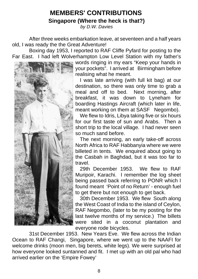#### **MEMBERS' CONTRIBUTIONS**

**Singapore (Where the heck is that?)**

*by D.W. Davies*

After three weeks embarkation leave, at seventeen and a half years old, I was ready the the Great Adventure!

 Boxing day 1953, I reported to RAF Cliffe Pyfard for posting to the Far East. I had left Wolverhampton Low Level Station with my father's



words ringing in my ears "Keep your hands in your pockets". I arrived at Birmingham before realising what he meant.

 I was late arriving (with full kit bag) at our destination, so there was only time to grab a meal and off to bed. Next morning, after breakfast, it was down to Lyneham for boarding Hastings Aircraft (which later in life, meant working on them at SASF Negombo).

We flew to Idris, Libya taking five or six hours for our first taste of sun and Arabs. Then a short trip to the local village. I had never seen so much sand before.

 The next morning, an early take-off across North Africa to RAF Habbanyia where we were billeted in tents. We enquired about going to the Casbah in Baghdad, but it was too far to travel.

 29th December 1953. We flew to RAF Muripoir, Karachi. I remember the log sheet being passed back referring to PONR which I found meant 'Point of no Return' - enough fuel to get there but not enough to get back.

 30th December 1953. We flew South along the West Coast of India to the island of Ceylon, RAF Negombo, (later to be my posting for the last twelve months of my service.) The billets were sited in a coconut plantation and everyone rode bicycles.

 31st December 1953. New Years Eve. We flew across the Indian Ocean to RAF Changi, Singapore, where we went up to the NAAFI for welcome drinks (moon men, big berets, white legs). We were surprised at how everyone looked suntanned and fit. I met up with an old pal who had arrived earlier on the 'Empire Fowey'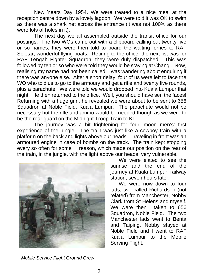New Years Day 1954. We were treated to a nice meal at the reception centre down by a lovely lagoon. We were told it was OK to swim as there was a shark net across the entrance (it was not 100% as there were lots of holes in it).

 The next day we all assembled outside the transit office for our postings. The two WOs came out with a clipboard calling out twenty five or so names, they were then told to board the waiting lorries to RAF Seletar, wonderful flying boats. Retiring to the office, the next list was for RAF Tengah Fighter Squadron, they were duly dispatched. This was followed by ten or so who were told they would be staying at Changi. Now, realising my name had not been called, I was wandering about enquiring if there was anyone else. After a short delay, four of us were left to face the WO who told us to go to the armoury and get a rifle and twenty five rounds, plus a parachute. We were told we would dropped into Kuala Lumpur that night. He then returned to the office. Well, you should have sen the faces! Returning with a huge grin, he revealed we were about to be sent to 656 Squadron at Noble Field, Kuala Lumpur. The parachute would not be necessary but the rifle and ammo would be needed though as we were to be the rear guard on the Midnight Troop Train to KL.

 The journey was a bit frightening for four 'moon men's' first experience of the jungle. The train was just like a cowboy train with a platform on the back and lights above our heads. Traveling in front was an armoured engine in case of bombs on the track. The train kept stopping every so often for some reason, which made our position on the rear of the train, in the jungle, with the light above our heads, very vulnerable.



 We were elated to see the sunrise and the end of the journey at Kuala Lumpur railway station, seven hours later.

 We were now down to four lads, two called Richardson (not related) from Manchester, Nobby Clark from St Helens and myself. We were then taken to 656 Squadron, Noble Field. The two Manchester lads went to Benta and Taiping, Nobby stayed at Noble Field and I went to RAF Kuala Lumpur to the Mobile Serving Flight.

*Mobile Service Flight Ground Crew*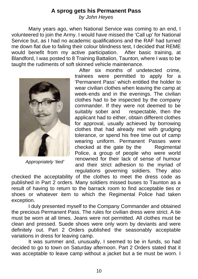#### **A sprog gets his Permanent Pass** *by John Heyes*

 Many years ago, when National Service was coming to an end, I volunteered to join the Army. I would have missed the 'Call up' for National Service but, as I had no academic qualifications and the RAF had turned me down flat due to failing their colour blindness test, I decided that REME would benefit from my active participation. After basic training, at Blandford, I was posted to 8 Training Battalion, Taunton, where I was to be taught the rudiments of soft skinned vehicle maintenance.



*Appropriately 'tied'*

 After six months of undetected crime, trainees were permitted to apply for a 'Permanent Pass' which entitled the holder to wear civilian clothes when leaving the camp at week-ends and in the evenings. The civilian clothes had to be inspected by the company commander. If they were not deemed to be suitably sober and respectable, then the respectable, then the applicant had to either, obtain different clothes for approval, usually achieved by borrowing clothes that had already met with grudging tolerance, or spend his free time out of camp wearing uniform. Permanent Passes were checked at the gate by the Regimental Police, a group of people who were world renowned for their lack of sense of humour and their strict adhesion to the myriad of regulations governing soldiers. They also

checked the acceptability of the clothes to meet the dress code as published in Part 2 orders. Many soldiers missed buses to Taunton as a result of having to return to the barrack room to find acceptable ties or shoes or whatever item to which the Regimental Police had taken exception.

 I duly presented myself to the Company Commander and obtained the precious Permanent Pass. The rules for civilian dress were strict. A tie must be worn at all times. Jeans were not permitted. All clothes must be clean and pressed. Suede shoes were only worn by deviants and were definitely out. Part 2 Orders published the seasonably acceptable variations in dress for leaving camp.

 It was summer and, unusually, I seemed to be in funds, so had decided to go to town on Saturday afternoon. Part 2 Orders stated that it was acceptable to leave camp without a jacket but a tie must be worn. I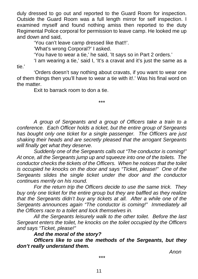duly dressed to go out and reported to the Guard Room for inspection. Outside the Guard Room was a full length mirror for self inspection. I examined myself and found nothing amiss then reported to the duty Regimental Police corporal for permission to leave camp. He looked me up and down and said,

'You can't leave camp dressed like that!!'.

'What's wrong Corporal?' I asked.

'You have to wear a tie,' he said, 'It says so in Part 2 orders.'

 'I am wearing a tie,' said I, 'It's a cravat and it's just the same as a tie.'

 'Orders doesn't say nothing about cravats, if you want to wear one of them things then you'll have to wear a tie with it!.' Was his final word on the matter.

Exit to barrack room to don a tie.

\*\*\*

*A group of Sergeants and a group of Officers take a train to a conference. Each Officer holds a ticket, but the entire group of Sergeants has bought only one ticket for a single passenger. The Officers are just shaking their heads and are secretly pleased that the arrogant Sergeants will finally get what they deserve.*

 *Suddenly one of the Sergeants calls out "The conductor is coming!" At once, all the Sergeants jump up and squeeze into one of the toilets. The conductor checks the tickets of the Officers. When he notices that the toilet is occupied he knocks on the door and says "Ticket, please!" One of the Sergeants slides the single ticket under the door and the conductor continues merrily on his round.*

 *For the return trip the Officers decide to use the same trick. They buy only one ticket for the entire group but they are baffled as they realize that the Sergeants didn't buy any tickets at all. After a while one of the Sergeants announces again "The conductor is coming!" Immediately all the Officers race to a toilet and lock themselves in.*

 *All the Sergeants leisurely walk to the other toilet. Before the last Sergeant enters the toilet, he knocks on the toilet occupied by the Officers and says "Ticket, please!"*

*And the moral of the story?*

 *Officers like to use the methods of the Sergeants, but they don't really understand them.*

 *Anon*

\*\*\*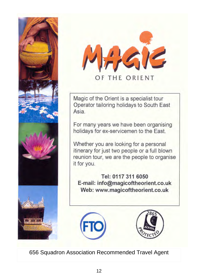



OF THE ORIENT

Magic of the Orient is a specialist tour Operator tailoring holidays to South East Asia

For many years we have been organising holidays for ex-servicemen to the East.

Whether you are looking for a personal itinerary for just two people or a full blown reunion tour, we are the people to organise it for you.

Tel: 0117 311 6050 E-mail: info@magicoftheorient.co.uk Web: www.magicoftheorient.co.uk





656 Squadron Association Recommended Travel Agent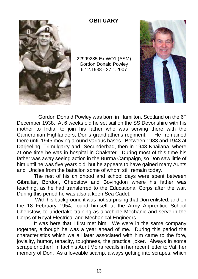

#### **OBITUARY**

22999285 Ex WO1 (ASM) Gordon Donald Powley 6.12.1938 - 27.1.2007



Gordon Donald Powley was born in Hamilton, Scotland on the 6<sup>th</sup> December 1938. At 6 weeks old he set sail on the SS Devonshire with his mother to India, to join his father who was serving there with the Cameronian Highlanders, Don's grandfather's regiment. He remained Cameronian Highlanders, Don's grandfather's regiment. there until 1945 moving around various bases. Between 1938 and 1943 at Darjeeling, Trimulgarry and Secunderbad, then in 1943 Khailana, where at one time he was in hospital in Chakater. During most of this time his father was away seeing action in the Burma Campaign, so Don saw little of him until he was five years old, but he appears to have gained many Aunts and Uncles from the battalion some of whom still remain today.

The rest of his childhood and school days were spent between Gibraltar, Bordon, Chepstow and Bovingdon where his father was teaching, as he had transferred to the Educational Corps after the war. During this period he was also a keen Sea Cadet.

 With his background it was not surprising that Don enlisted, and on the 18 February 1954, found himself at the Army Apprentice School Chepstow, to undertake training as a Vehicle Mechanic and serve in the Corps of Royal Electrical and Mechanical Engineers.

It was here that I first met him. We were in the same company together, although he was a year ahead of me. During this period the characteristics which we all later associated with him came to the fore, joviality, humor, tenacity, toughness, the practical joker. Always in some scrape or other! In fact his Aunt Moira recalls in her recent letter to Val, her memory of Don, 'As a loveable scamp, always getting into scrapes, which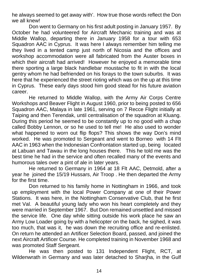he always seemed to get away with'. How true those words reflect the Don we all knew!

Don went to Germany on his first adult posting in January 1957. By October he had volunteered for Aircraft Mechanic training and was at Middle Wallop, departing there in January 1958 for a tour with 653 Squadron AAC in Cyprus. It was here I always remember him telling me they lived in a tented camp just north of Nicosia and the offices and workshop accommodation were all fabricated from the Auster boxes in which their aircraft had arrived! However he enjoyed a memorable time there sporting a large black handlebar moustache to fit in with the local gentry whom he had befriended on his forays to the town suburbs. It was here that he experienced the street rioting which was on the up at this time in Cyprus. These early days stood him good stead for his future aviation career.

He returned to Middle Wallop, with the Army Air Corps Centre Workshops and Beaver Flight in August 1960, prior to being posted to 656 Squadron AAC, Malaya in late 1961, serving on 7 Recce Flight initially at Taiping and then Terendak, until centralisation of the squadron at Kluang. During this period he seemed to be constantly up to no good with a chap called Bobby Lennon, or so he used to tell me! He also used to wonder what happened to worn out flip flops? This shows the way Don's mind worked. He was promoted to Sergeant and went to Borneo with 14 Flt AAC in 1963 when the Indonesian Confrontation started up, being located at Labuan and Tawau in the long houses there. This he told me was the best time he had in the service and often recalled many of the events and humorous tales over a pint of ale in later years.

He returned to Germany in 1964 at 18 Flt AAC, Detmold, after a year he joined the 15/19 Hussars, Air Troop . He then departed the Army for the first time.

Don returned to his family home in Nottingham in 1966, and took up employment with the local Power Company at one of their Power Stations. It was here, in the Nottingham Conservative Club, that he first met Val. A beautiful young lady who won his heart completely and they were married in September 1967. But Don remained unsettled and missed the service life. One day while sitting outside his work place he saw an Army Low Loader going by with a helicopter on the back, he sighed, it was too much, that was it, he was down the recruiting office and re-enlisted. On return he attended an Artificer Selection Board, passed, and joined the next Aircraft Artificer Course. He completed training in November 1968 and was promoted Staff Sergeant.

He was then posted to 131 Independent Flight, RCT, at Wildenwrath in Germany and was later detached to Sharjha, in the Gulf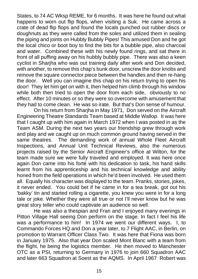States, to 74 AC Wksp REME, for 6 months. It was here he found out what happens to worn out flip flops, when visiting a Suk. He came across a crate of dead flip flops and found the locals punched out rubber discs or doughnuts as they were called from the soles and utilized them in sealing the piping and joints on Hubbly Bubbly Pipes! This amused Don and he got the local chico or boot boy to find the bits for a bubble pipe, also charcoal and water. Combined these with his newly found rings, and sat there in front of all puffing away on his hubbly bubbly pipe. There was also a keen cyclist in Sharjha who was out training daily after work and Don decided, with another, to remove this chap's bunk door, unscrew the door knobs and remove the square connector piece between the handles and then re-hang the door. Well you can imagine this chap on his return trying to open his door! They let him get on with it, then helped him climb through his window while both then tried to open the door from each side, obviously to no effect. After 10 minutes or so they were so overcome with amusement that they had to come clean. He was so irate. But that's Don sense of humour.

On his return from Sharjha in May 1971, Don served on the Aircraft Engineering Theatre Standards Team based at Middle Wallop. It was here that I caught up with him again in March 1972 when I was posted in as the Team ASM. During the next two years our friendship grew through work and play and we caught up on much common ground having served in the same theatres. The demanding work of annual Whole Fleet Aircraft Inspections, and Annual Unit Technical Reviews, also the numerous projects raised by the Senior Aircraft Engineer's office at Wilton, for the team made sure we were fully traveled and employed. It was here once again Don came into his forté with his dedication to task, his hand skills learnt from his apprenticeship and his technical knowledge and ability honed from the field operations in which he'd been involved. He used them all. Equally his character was displayed to the team. Pranks, stories, jokes, it never ended. You could bet if he came in for a tea break, got out his 'bakky' tin and started rolling a cigarette, you knew you were in for a long tale or joke. Whether they were all true or not I'll never know but he was great story teller who could captivate an audience so well.

He was also a thespian and Fran and I enjoyed many evenings in Pitton Village Hall seeing Don perform on the stage. In fact I feel his life was a performance to him! In 1974 we went our different ways. I, to Commando Forces HQ and Don a year later, to 7 Flight AAC, in Berlin, on promotion to Warrant Officer Class Two. It was here that Fiona was born in January 1975. Also that year Don scaled Mont Blanc with a team from the flight, he being the logistics member. He then moved to Manchester OTC as a PSI, returning to Germany in 1976 to join 660 Squadron AAC and later 663 Squadron at Soest as the AQMS. In April 1967 Robert was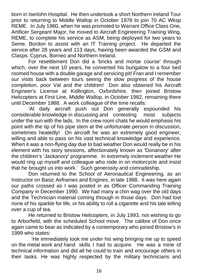born in Iserlohn Hospital. He then undertook a short Northern Ireland Tour prior to returning to Middle Wallop in October 1978 to join 70 AC Wksp REME. In July 1980, when he was promoted to Warrant Office Class One, Artificer Sergeant Major, he moved to Aircraft Engineering Training Wing, REME, to complete his service as ASM, being deployed for two years to Seme, Bordon to assist with an IT Training project. He departed the service after 28 years and 113 days, having been awarded the GSM and Clasps, Cyprus, Borneo and Northern Ireland.

For resettlement Don did a 'bricks and mortar course' through which, over the next 10 years, he converted his bungalow to a four bed roomed house with a double garage and servicing pit! Fran and I remember our visits back between tours seeing the slow progress of the house completion, poor Val and the children! Don also obtained his Aircraft Engineer's License at Kidlington, Oxfordshire, then joined Bristow Helicopters at First Line, Middle Wallop, in October 1982, remaining there until December 1988. A work colleague of the time recalls:

 'At daily aircraft push out Don generally expounded his considerable knowledge in discussing and contesting most subjects under the sun with the lads. In the crew room chats he would emphasis his point with the tip of his pipe stem at the unfortunate person in discussion, sometimes heatedly! On aircraft he was an extremely good engineer, willing and able to pass on his vast technical knowledge and experience. When it was a non-flying day due to bad weather Don would really be in his element with his story sessions, affectionately known as 'Donanory' after the children's 'Jackanory' programme. In extremely inclement weather He would ring up myself and colleague who rode in on motorcycle and insist that he brought us into work.' Such generosity and comradeship.

Don returned to the School of Aeronautical Engineering, as an Instructor on Basic Airframes and Engines, in late 1988. It was here again our paths crossed as I was posted in as Officer Commanding Training Company in December 1990. We had many a chin wag over the old days and the Technician material coming through in those days. Don had lost none of his sparkle for life, or his ability to roll a cigarette and his tale telling over a cup of tea.

He returned to Bristow Helicopters, in July 1993, not wishing to go to Arborfield, with the scheduled School move. The calibre of Don once again came to bear as indicated by a contemporary who joined Bristow's in 1999 who states:

 'He immediately took me under his wing bringing me up to speed on the metal work and hand skills I had to acquire. He was a mine of technical information and did all he could to train and encourage others in their tasks. He was highly respected by the military technicians and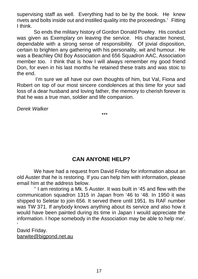supervising staff as well. Everything had to be by the book. He knew rivets and bolts inside out and instilled quality into the proceedings.' Fitting I think.

So ends the military history of Gordon Donald Powley. His conduct was given as Exemplary on leaving the service. His character honest, dependable with a strong sense of responsibility. Of jovial disposition, certain to brighten any gathering with his personality, wit and humour. He was a Beachley Old Boy Association and 656 Squadron AAC, Association member too. I think that is how I will always remember my good friend Don, for even in his last months he retained these traits and was stoic to the end.

 I'm sure we all have our own thoughts of him, but Val, Fiona and Robert on top of our most sincere condolences at this time for your sad loss of a dear husband and loving father, the memory to cherish forever is that he was a true man, soldier and life companion.

*Derek Walker*

\*\*\*

#### **CAN ANYONE HELP?**

 We have had a request from David Friday for information about an old Auster that he is restoring. If you can help him with information, please email him at the address below.

 '' I am restoring a Mk. 5 Auster. It was built in '45 and flew with the communication squadron 1315 in Japan from '46 to '48. In 1950 it was shipped to Seletar to join 656. It served there until 1951. Its RAF number was TW 371. If anybody knows anything about its service and also how it would have been painted during its time in Japan I would appreciate the information. I hope somebody in the Association may be able to help me'. '

David Friday. barwite@bigpond.net.au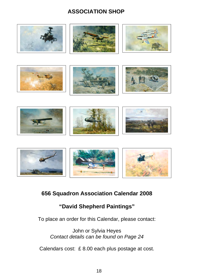#### **ASSOCIATION SHOP**



#### **656 Squadron Association Calendar 2008**

#### **"David Shepherd Paintings"**

To place an order for this Calendar, please contact:

John or Sylvia Heyes *Contact details can be found on Page 24*

Calendars cost: £ 8.00 each plus postage at cost.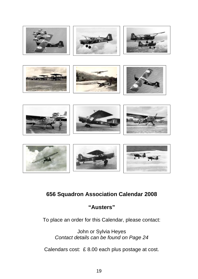

#### **656 Squadron Association Calendar 2008**

#### **"Austers"**

To place an order for this Calendar, please contact:

John or Sylvia Heyes *Contact details can be found on Page 24*

Calendars cost: £ 8.00 each plus postage at cost.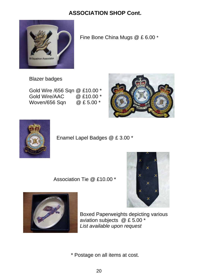#### **ASSOCIATION SHOP Cont.**



Fine Bone China Mugs @ £ 6.00 \*

Blazer badges

Gold Wire /656 Sqn @ £10.00 \* Gold Wire/AAC @ £10.00 \* Woven/656 Sqn @ £ 5.00 \*





Enamel Lapel Badges @ £ 3.00 \*

Association Tie @ £10.00 \*





 Boxed Paperweights depicting various aviation subjects @ £ 5.00 \* *List available upon request*

\* Postage on all items at cost.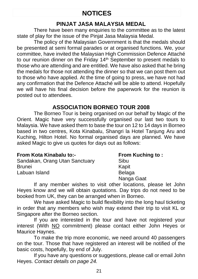#### **NOTICES**

#### **PINJAT JASA MALAYSIA MEDAL**

 There have been many enquiries to the committee as to the latest state of play for the issue of the Pinjat Jasa Malaysia Medal.

 The policy of the Malaysian Government is that the medals should be presented at semi formal parades or at organised functions. We, your committee, have invited the Malaysian High Commission Defence Attaché to our reunion dinner on the Friday 14<sup>th</sup> September to present medals to those who are attending and are entitled. We have also asked that he bring the medals for those not attending the dinner so that we can post them out to those who have applied. At the time of going to press, we have not had any confirmation that the Defence Attaché will be able to attend. Hopefully we will have his final decision before the paperwork for the reunion is posted out to attendees.

#### **ASSOCIATION BORNEO TOUR 2008**

 The Borneo Tour is being organised on our behalf by Magic of the Orient. Magic have very successfully organised our last two tours to Malaysia. We have asked them to base the tour on 12 to 14 days in Borneo based in two centres, Kota Kinabalu, Shangri la Hotel Tanjung Aru and Kuching, Hilton Hotel. No formal organised days are planned. We have asked Magic to give us quotes for days out as follows:

#### From Kota Kinabalu to:- From Kuching to :

Sandakan, Orang Utan Sanctuary Sibu<br>Brunei Kapit Brunei Kapit Labuan Island Belaga

Nanga Gaat

 If any member wishes to visit other locations, please let John Heyes know and we will obtain quotations. Day trips do not need to be booked from UK, they can be arranged when in Borneo.

We have asked Magic to build flexibility into the long haul ticketing in order that any members who wish may extend their trip to visit KL or Singapore after the Borneo section.

If you are interested in the tour and have not registered your interest (With NO commitment) please contact either John Heyes or Maurice Haynes.

To make the trip more economic, we need around 40 passengers on the tour. Those that have registered an interest will be notified of the basic costs, hopefully, by end of July.

If you have any questions or suggestions, please call or email John Heyes. *Contact details on page 24.*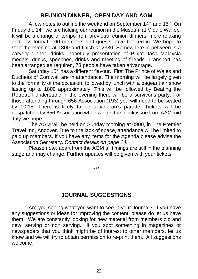#### **REUNION DINNER, OPEN DAY AND AGM**

A few notes to outline the weekend on September 14<sup>th</sup> and 15<sup>th</sup>. On Friday the 14<sup>th</sup> we are holding our reunion in the Museum at Middle Wallop. It will be a change of tempo from previous reunion dinners, more relaxing and less formal. 160 members and guests have booked in. We hope to start the evening at 1800 and finish at 2330. Somewhere in between is a carvery dinner, drinks, hopefully presentation of Pinjat Jasa Malaysia medals, drinks, speeches, drinks and meeting of friends. Transport has been arranged as required, 73 people have taken advantage.

Saturday 15<sup>th</sup> has a different flavour. First The Prince of Wales and Duchess of Cornwall are in attendance. The morning will be largely given to the formality of the occasion, followed by lunch with a pageant air show lasting up to 1800 approximately. This will be followed by Beating the Retreat. I understand in the evening there will be a survivor's party. For those attending through 656 Association (193) you will need to be seated by 10.15. There is likely to be a veteran's parade. Tickets will be despatched by 656 Association when we get the block issue from AAC mid July we hope.

 The AGM will be held on Sunday morning at 0900, in The Premier Travel Inn, Andover. Due to the lack of space, attendance will be limited to paid up members. If you have any items for the Agenda please advise the Association Secretary. *Contact details on page 24.*

 Please note, apart from the AGM all timings are still in the planning stage and may change. Further updates will be given with your tickets.

\*\*\*

#### **JOURNAL SUGGESTIONS**

Are you seeing what you want to see in your Journal? If you have any suggestions or ideas for improving the content, please do let us have them. We are constantly looking for new material from members old and new, serving or non serving. If you spot something in magazines or newspapers that you think might be of interest to other members, let us know and we will try to obtain permission to re-print them. All suggestions welcome.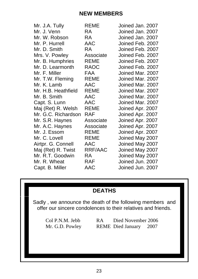| <b>REME</b> | Joined Jan. 2007 |
|-------------|------------------|
| <b>RA</b>   | Joined Jan. 2007 |
| <b>RA</b>   | Joined Jan. 2007 |
| <b>AAC</b>  | Joined Feb. 2007 |
| RA.         | Joined Feb. 2007 |
| Associate   | Joined Feb. 2007 |
| <b>REME</b> | Joined Feb. 2007 |
| <b>RAOC</b> | Joined Feb. 2007 |
| <b>FAA</b>  | Joined Mar. 2007 |
| REME        | Joined Mar. 2007 |
| <b>AAC</b>  | Joined Mar. 2007 |
| <b>REME</b> | Joined Mar. 2007 |
| AAC         | Joined Mar. 2007 |
| <b>AAC</b>  | Joined Mar. 2007 |
| <b>REME</b> | Joined Apr. 2007 |
| <b>RAF</b>  | Joined Apr. 2007 |
| Associate   | Joined Apr. 2007 |
| Associate   | Joined Apr. 2007 |
| <b>REME</b> | Joined Apr. 2007 |
| <b>REME</b> | Joined May 2007  |
| AAC         | Joined May 2007  |
|             | Joined May 2007  |
| <b>RA</b>   | Joined May 2007  |
| <b>RAF</b>  | Joined Jun. 2007 |
| AAC         | Joined Jun. 2007 |
|             | RRF/AAC          |

#### **DEATHS**

Sadly , we announce the death of the following members and offer our sincere condolences to their relatives and friends.

Col P.N.M. Jebb RA Died November 2006<br>Mr. G.D. Powley REME Died January 2007 REME Died January 2007